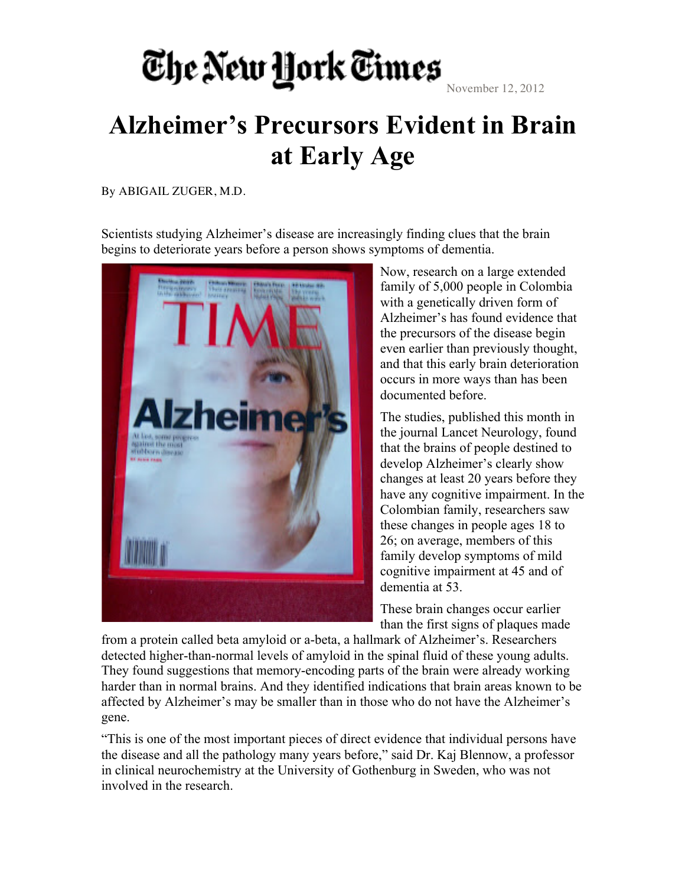## The New York Times

November 12, 2012

## **Alzheimer's Precursors Evident in Brain at Early Age**

By ABIGAIL ZUGER, M.D.

Scientists studying Alzheimer's disease are increasingly finding clues that the brain begins to deteriorate years before a person shows symptoms of dementia.



Now, research on a large extended family of 5,000 people in Colombia with a genetically driven form of Alzheimer's has found evidence that the precursors of the disease begin even earlier than previously thought, and that this early brain deterioration occurs in more ways than has been documented before.

The studies, published this month in the journal Lancet Neurology, found that the brains of people destined to develop Alzheimer's clearly show changes at least 20 years before they have any cognitive impairment. In the Colombian family, researchers saw these changes in people ages 18 to 26; on average, members of this family develop symptoms of mild cognitive impairment at 45 and of dementia at 53.

These brain changes occur earlier than the first signs of plaques made

from a protein called beta amyloid or a-beta, a hallmark of Alzheimer's. Researchers detected higher-than-normal levels of amyloid in the spinal fluid of these young adults. They found suggestions that memory-encoding parts of the brain were already working harder than in normal brains. And they identified indications that brain areas known to be affected by Alzheimer's may be smaller than in those who do not have the Alzheimer's gene.

"This is one of the most important pieces of direct evidence that individual persons have the disease and all the pathology many years before," said Dr. Kaj Blennow, a professor in clinical neurochemistry at the University of Gothenburg in Sweden, who was not involved in the research.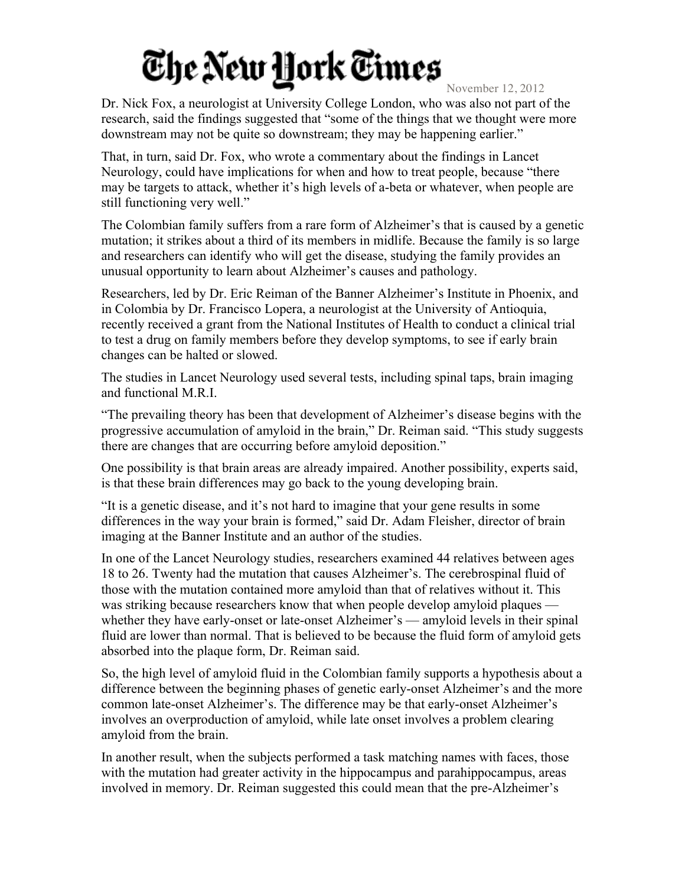## The New Hork Times

November 12, 2012

Dr. Nick Fox, a neurologist at University College London, who was also not part of the research, said the findings suggested that "some of the things that we thought were more downstream may not be quite so downstream; they may be happening earlier."

That, in turn, said Dr. Fox, who wrote a commentary about the findings in Lancet Neurology, could have implications for when and how to treat people, because "there may be targets to attack, whether it's high levels of a-beta or whatever, when people are still functioning very well."

The Colombian family suffers from a rare form of Alzheimer's that is caused by a genetic mutation; it strikes about a third of its members in midlife. Because the family is so large and researchers can identify who will get the disease, studying the family provides an unusual opportunity to learn about Alzheimer's causes and pathology.

Researchers, led by Dr. Eric Reiman of the Banner Alzheimer's Institute in Phoenix, and in Colombia by Dr. Francisco Lopera, a neurologist at the University of Antioquia, recently received a grant from the National Institutes of Health to conduct a clinical trial to test a drug on family members before they develop symptoms, to see if early brain changes can be halted or slowed.

The studies in Lancet Neurology used several tests, including spinal taps, brain imaging and functional M.R.I.

"The prevailing theory has been that development of Alzheimer's disease begins with the progressive accumulation of amyloid in the brain," Dr. Reiman said. "This study suggests there are changes that are occurring before amyloid deposition."

One possibility is that brain areas are already impaired. Another possibility, experts said, is that these brain differences may go back to the young developing brain.

"It is a genetic disease, and it's not hard to imagine that your gene results in some differences in the way your brain is formed," said Dr. Adam Fleisher, director of brain imaging at the Banner Institute and an author of the studies.

In one of the Lancet Neurology studies, researchers examined 44 relatives between ages 18 to 26. Twenty had the mutation that causes Alzheimer's. The cerebrospinal fluid of those with the mutation contained more amyloid than that of relatives without it. This was striking because researchers know that when people develop amyloid plaques whether they have early-onset or late-onset Alzheimer's — amyloid levels in their spinal fluid are lower than normal. That is believed to be because the fluid form of amyloid gets absorbed into the plaque form, Dr. Reiman said.

So, the high level of amyloid fluid in the Colombian family supports a hypothesis about a difference between the beginning phases of genetic early-onset Alzheimer's and the more common late-onset Alzheimer's. The difference may be that early-onset Alzheimer's involves an overproduction of amyloid, while late onset involves a problem clearing amyloid from the brain.

In another result, when the subjects performed a task matching names with faces, those with the mutation had greater activity in the hippocampus and parahippocampus, areas involved in memory. Dr. Reiman suggested this could mean that the pre-Alzheimer's